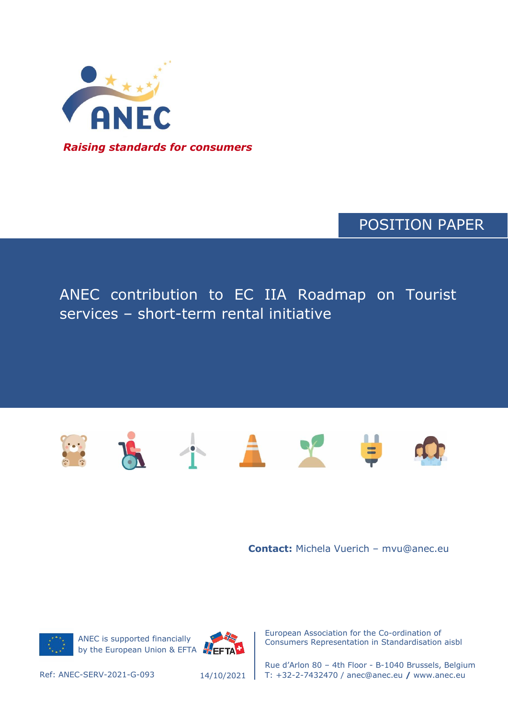

POSITION PAPER

## ANEC contribution to EC IIA Roadmap on Tourist services – short-term rental initiative



**Contact:** Michela Vuerich – mvu@anec.eu



ANEC is supported financially by the European Union & EFTA FEFTA



European Association for the Co-ordination of Consumers Representation in Standardisation aisbl

14/10/2021

Rue d'Arlon 80 – 4th Floor - B-1040 Brussels, Belgium Ref: ANEC-SERV-2021-G-093 T: +32-2-7432470 / anec@anec.eu **/** www.anec.eu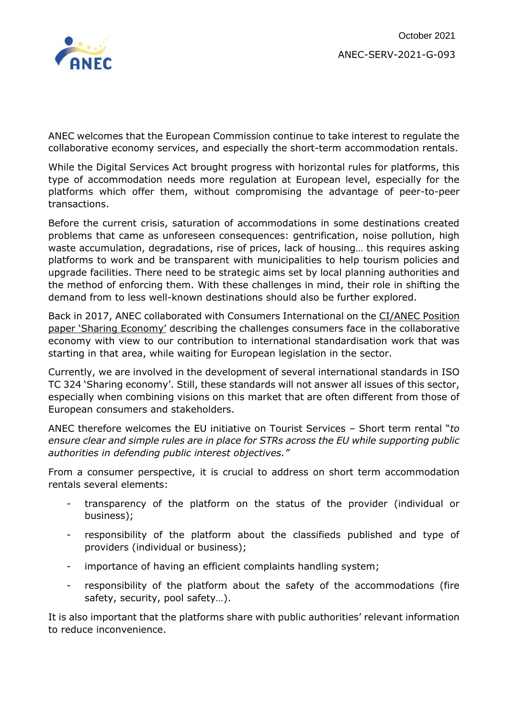

ANEC welcomes that the European Commission continue to take interest to regulate the collaborative economy services, and especially the short-term accommodation rentals.

While the Digital Services Act brought progress with horizontal rules for platforms, this type of accommodation needs more regulation at European level, especially for the platforms which offer them, without compromising the advantage of peer-to-peer transactions.

Before the current crisis, saturation of accommodations in some destinations created problems that came as unforeseen consequences: gentrification, noise pollution, high waste accumulation, degradations, rise of prices, lack of housing… this requires asking platforms to work and be transparent with municipalities to help tourism policies and upgrade facilities. There need to be strategic aims set by local planning authorities and the method of enforcing them. With these challenges in mind, their role in shifting the demand from to less well-known destinations should also be further explored.

Back in 2017, ANEC collaborated with Consumers International on the [CI/ANEC Position](https://www.anec.eu/images/Publications/position-papers/Services/ANEC-SERV-2017-G-019.pdf)  [paper](https://www.anec.eu/images/Publications/position-papers/Services/ANEC-SERV-2017-G-019.pdf) 'Sharing Economy' describing the challenges consumers face in the collaborative economy with view to our contribution to international standardisation work that was starting in that area, while waiting for European legislation in the sector.

Currently, we are involved in the development of several international standards in ISO TC 324 'Sharing economy'. Still, these standards will not answer all issues of this sector, especially when combining visions on this market that are often different from those of European consumers and stakeholders.

ANEC therefore welcomes the EU initiative on Tourist Services – Short term rental "*to ensure clear and simple rules are in place for STRs across the EU while supporting public authorities in defending public interest objectives."*

From a consumer perspective, it is crucial to address on short term accommodation rentals several elements:

- transparency of the platform on the status of the provider (individual or business);
- responsibility of the platform about the classifieds published and type of providers (individual or business);
- importance of having an efficient complaints handling system;
- responsibility of the platform about the safety of the accommodations (fire safety, security, pool safety…).

It is also important that the platforms share with public authorities' relevant information to reduce inconvenience.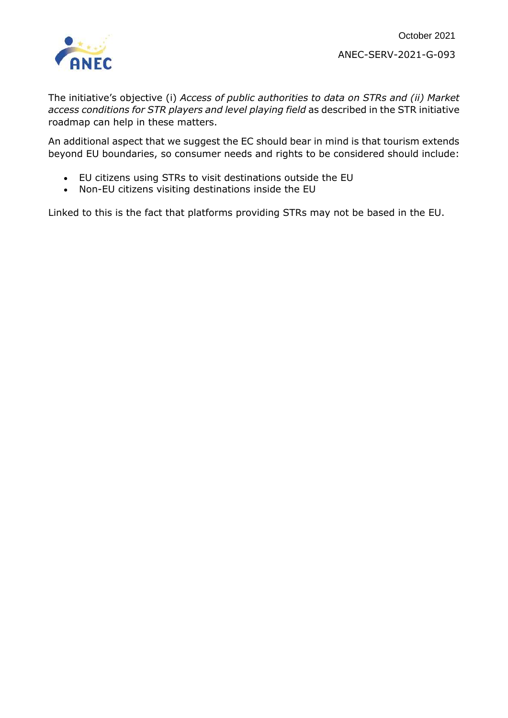

The initiative's objective (i) *Access of public authorities to data on STRs and (ii) Market access conditions for STR players and level playing field* as described in the STR initiative roadmap can help in these matters.

An additional aspect that we suggest the EC should bear in mind is that tourism extends beyond EU boundaries, so consumer needs and rights to be considered should include:

- EU citizens using STRs to visit destinations outside the EU
- Non-EU citizens visiting destinations inside the EU

Linked to this is the fact that platforms providing STRs may not be based in the EU.